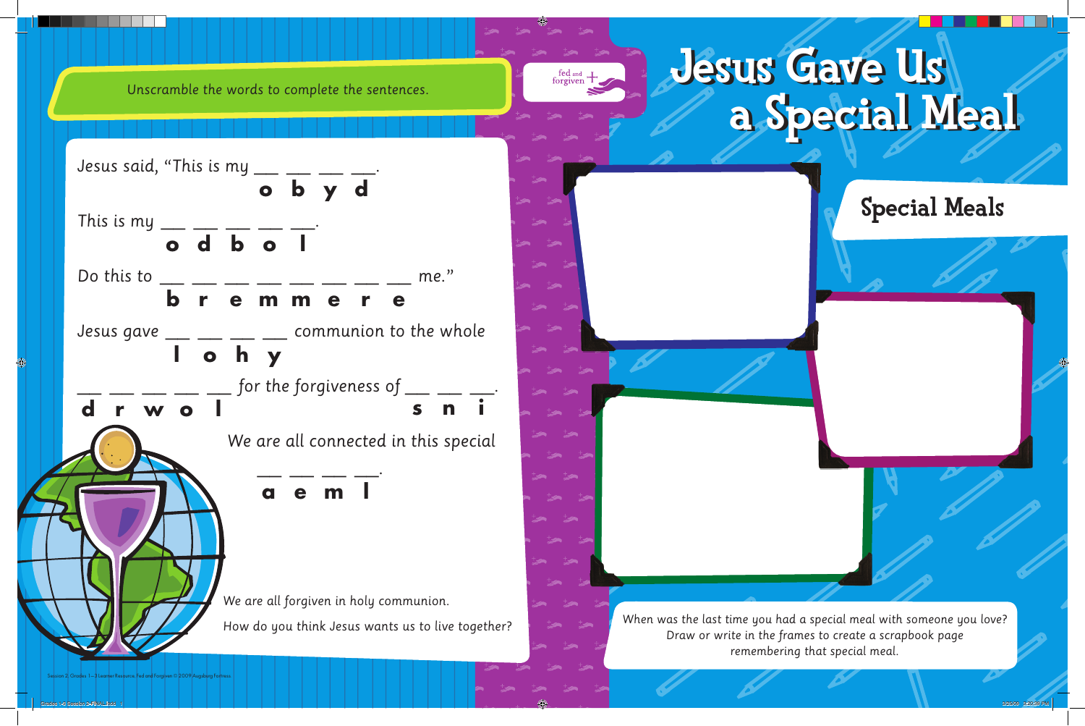

*When was the last time you had a special meal with someone you love? Draw or write in the frames to create a scrapbook page remembering that special meal.*

Session 2, Grades 1–3 Learner Resource, Fed and Forgiven © 2009 Augsburg Fortress.

*Unscramble the words to complete the sentences.*

fed and H<sub>,</sub>

*We are all forgiven in holy communion. How do you think Jesus wants us to live together? Jesus said, "This is my \_\_\_ \_\_ \_\_ \_\_\_ \_\_*. *This is my \_\_ \_\_ \_\_ \_\_ \_\_. Do this to \_\_ \_\_ \_\_ \_\_ \_\_ \_\_ \_\_ \_\_ me." Jesus gave \_\_ \_\_ \_\_ \_\_ communion to the whole \_\_ \_\_ \_\_ \_\_ \_\_ for the forgiveness of \_\_ \_\_ \_\_. We are all connected in this special \_\_ \_\_ \_\_ \_\_.* **o b y d o d b o l b r e m m e r e l o h y d r w o l s n i a e m l**